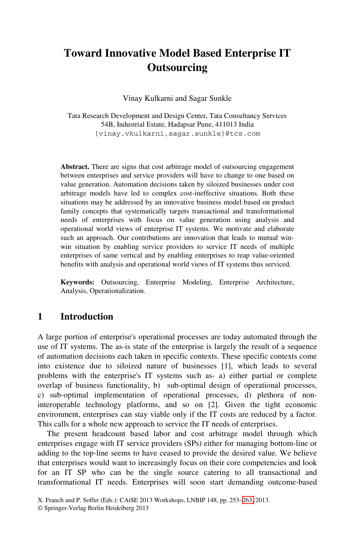# **Toward Innovative Model Based Enterprise IT Outsourcing**

Vinay Kulkarni and Sagar Sunkle

Tata Research Development and Design Center, Tata Consultancy Services 54B, Industrial Estate, Hadapsar Pune, 411013 India {vinay.vkulkarni,sagar.sunkle}@tcs.com

**Abstract.** There are signs that cost arbitrage model of outsourcing engagement between enterprises and service providers will have to change to one based on value generation. Automation decisions taken by siloized businesses under cost arbitrage models have led to complex cost-ineffective situations. Both these situations may be addressed by an innovative business model based on product family concepts that systematically targets transactional and transformational needs of enterprises with focus on value generation using analysis and operational world views of enterprise IT systems. We motivate and elaborate such an approach. Our contributions are innovation that leads to mutual winwin situation by enabling service providers to service IT needs of multiple enterprises of same vertical and by enabling enterprises to reap value-oriented benefits with analysis and operational world views of IT systems thus serviced.

**Keywords:** Outsourcing, Enterprise Modeling, Enterprise Architecture, Analysis, Operationalization.

#### **1 Introduction**

A large portion of enterprise's operational processes are today automated through the use of IT systems. The as-is state of the enterprise is largely the result of a sequence of automation decisions each taken in specific contexts. These specific contexts come into existence due to siloized nature of businesses [1], which leads to several problems with the enterprise's IT systems such as- a) either partial or complete overlap of business functionality, b) sub-optimal design of operational processes, c) sub-optimal implementation of operational processes, d) plethora of noninteroperable technology platforms, and so on [2]. Given the tight economic environment, enterprises can stay viable only if the IT costs are reduced by a factor. This calls for a whole new approach to serv[ice t](#page-10-0)he IT needs of enterprises.

The present headcount based labor and cost arbitrage model through which enterprises engage with IT service providers (SPs) either for managing bottom-line or adding to the top-line seems to have ceased to provide the desired value. We believe that enterprises would want to increasingly focus on their core competencies and look for an IT SP who can be the single source catering to all transactional and transformational IT needs. Enterprises will soon start demanding outcome-based

X. Franch and P. Soffer (Eds.): CAiSE 2013 Workshops, LNBIP 148, pp. 253–263, 2013.

<sup>©</sup> Springer-Verlag Berlin Heidelberg 2013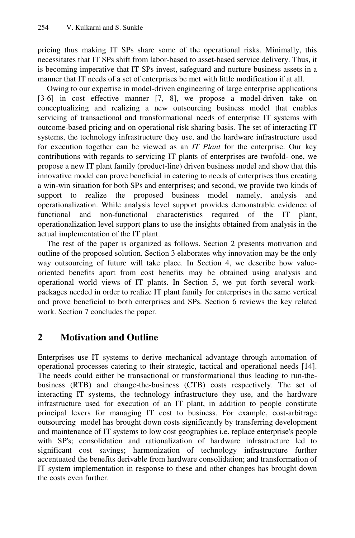pricing thus making IT SPs share some of the operational risks. Minimally, this necessitates that IT SPs shift from labor-based to asset-based service delivery. Thus, it is becoming imperative that IT SPs invest, safeguard and nurture business assets in a manner that IT needs of a set of enterprises be met with little modification if at all.

Owing to our expertise in model-driven engineering of large enterprise applications [3-6] in cost effective manner [7, 8], we propose a model-driven take on conceptualizing and realizing a new outsourcing business model that enables servicing of transactional and transformational needs of enterprise IT systems with outcome-based pricing and on operational risk sharing basis. The set of interacting IT systems, the technology infrastructure they use, and the hardware infrastructure used for execution together can be viewed as an *IT Plant* for the enterprise. Our key contributions with regards to servicing IT plants of enterprises are twofold- one, we propose a new IT plant family (product-line) driven business model and show that this innovative model can prove beneficial in catering to needs of enterprises thus creating a win-win situation for both SPs and enterprises; and second, we provide two kinds of support to realize the proposed business model namely, analysis and operationalization. While analysis level support provides demonstrable evidence of functional and non-functional characteristics required of the IT plant, operationalization level support plans to use the insights obtained from analysis in the actual implementation of the IT plant.

The rest of the paper is organized as follows. Section 2 presents motivation and outline of the proposed solution. Section 3 elaborates why innovation may be the only way outsourcing of future will take place. In Section 4, we describe how valueoriented benefits apart from cost benefits may be obtained using analysis and operational world views of IT plants. In Section 5, we put forth several workpackages needed in order to realize IT plant family for enterprises in the same vertical and prove beneficial to both enterprises and SPs. Section 6 reviews the key related work. Section 7 concludes the paper.

#### **2 Motivation and Outline**

Enterprises use IT systems to derive mechanical advantage through automation of operational processes catering to their strategic, tactical and operational needs [14]. The needs could either be transactional or transformational thus leading to run-thebusiness (RTB) and change-the-business (CTB) costs respectively. The set of interacting IT systems, the technology infrastructure they use, and the hardware infrastructure used for execution of an IT plant, in addition to people constitute principal levers for managing IT cost to business. For example, cost-arbitrage outsourcing model has brought down costs significantly by transferring development and maintenance of IT systems to low cost geographies i.e. replace enterprise's people with SP's; consolidation and rationalization of hardware infrastructure led to significant cost savings; harmonization of technology infrastructure further accentuated the benefits derivable from hardware consolidation; and transformation of IT system implementation in response to these and other changes has brought down the costs even further.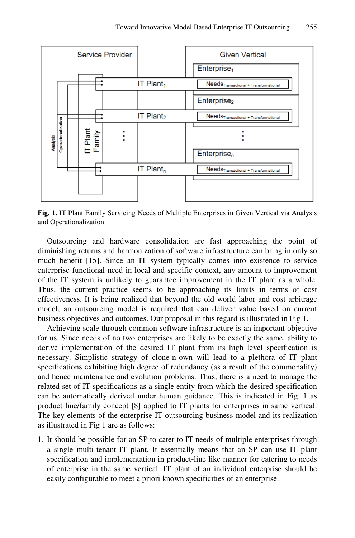

**Fig. 1.** IT Plant Family Servicing Needs of Multiple Enterprises in Given Vertical via Analysis and Operationalization

Outsourcing and hardware consolidation are fast approaching the point of diminishing returns and harmonization of software infrastructure can bring in only so much benefit [15]. Since an IT system typically comes into existence to service enterprise functional need in local and specific context, any amount to improvement of the IT system is unlikely to guarantee improvement in the IT plant as a whole. Thus, the current practice seems to be approaching its limits in terms of cost effectiveness. It is being realized that beyond the old world labor and cost arbitrage model, an outsourcing model is required that can deliver value based on current business objectives and outcomes. Our proposal in this regard is illustrated in Fig 1.

Achieving scale through common software infrastructure is an important objective for us. Since needs of no two enterprises are likely to be exactly the same, ability to derive implementation of the desired IT plant from its high level specification is necessary. Simplistic strategy of clone-n-own will lead to a plethora of IT plant specifications exhibiting high degree of redundancy (as a result of the commonality) and hence maintenance and evolution problems. Thus, there is a need to manage the related set of IT specifications as a single entity from which the desired specification can be automatically derived under human guidance. This is indicated in Fig. 1 as product line/family concept [8] applied to IT plants for enterprises in same vertical. The key elements of the enterprise IT outsourcing business model and its realization as illustrated in Fig 1 are as follows:

1. It should be possible for an SP to cater to IT needs of multiple enterprises through a single multi-tenant IT plant. It essentially means that an SP can use IT plant specification and implementation in product-line like manner for catering to needs of enterprise in the same vertical. IT plant of an individual enterprise should be easily configurable to meet a priori known specificities of an enterprise.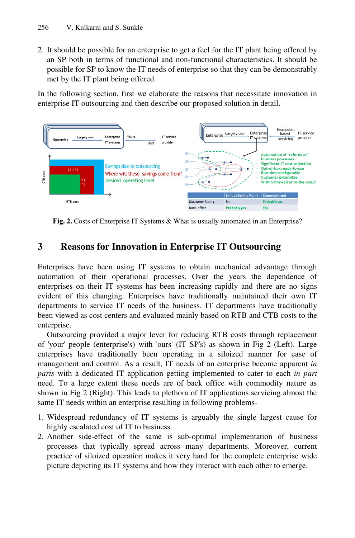2. It should be possible for an enterprise to get a feel for the IT plant being offered by an SP both in terms of functional and non-functional characteristics. It should be possible for SP to know the IT needs of enterprise so that they can be demonstrably met by the IT plant being offered.

In the following section, first we elaborate the reasons that necessitate innovation in enterprise IT outsourcing and then describe our proposed solution in detail.



**Fig. 2.** Costs of Enterprise IT Systems & What is usually automated in an Enterprise?

#### **3 Reasons for Innovation in Enterprise IT Outsourcing**

Enterprises have been using IT systems to obtain mechanical advantage through automation of their operational processes. Over the years the dependence of enterprises on their IT systems has been increasing rapidly and there are no signs evident of this changing. Enterprises have traditionally maintained their own IT departments to service IT needs of the business. IT departments have traditionally been viewed as cost centers and evaluated mainly based on RTB and CTB costs to the enterprise.

Outsourcing provided a major lever for reducing RTB costs through replacement of 'your' people (enterprise's) with 'ours' (IT SP's) as shown in Fig 2 (Left). Large enterprises have traditionally been operating in a siloized manner for ease of management and control. As a result, IT needs of an enterprise become apparent *in parts* with a dedicated IT application getting implemented to cater to each *in part* need. To a large extent these needs are of back office with commodity nature as shown in Fig 2 (Right). This leads to plethora of IT applications servicing almost the same IT needs within an enterprise resulting in following problems-

- 1. Widespread redundancy of IT systems is arguably the single largest cause for highly escalated cost of IT to business.
- 2. Another side-effect of the same is sub-optimal implementation of business processes that typically spread across many departments. Moreover, current practice of siloized operation makes it very hard for the complete enterprise wide picture depicting its IT systems and how they interact with each other to emerge.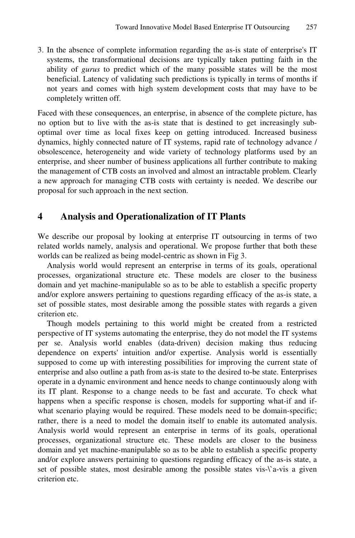3. In the absence of complete information regarding the as-is state of enterprise's IT systems, the transformational decisions are typically taken putting faith in the ability of *gurus* to predict which of the many possible states will be the most beneficial. Latency of validating such predictions is typically in terms of months if not years and comes with high system development costs that may have to be completely written off.

Faced with these consequences, an enterprise, in absence of the complete picture, has no option but to live with the as-is state that is destined to get increasingly suboptimal over time as local fixes keep on getting introduced. Increased business dynamics, highly connected nature of IT systems, rapid rate of technology advance / obsolescence, heterogeneity and wide variety of technology platforms used by an enterprise, and sheer number of business applications all further contribute to making the management of CTB costs an involved and almost an intractable problem. Clearly a new approach for managing CTB costs with certainty is needed. We describe our proposal for such approach in the next section.

### **4 Analysis and Operationalization of IT Plants**

We describe our proposal by looking at enterprise IT outsourcing in terms of two related worlds namely, analysis and operational. We propose further that both these worlds can be realized as being model-centric as shown in Fig 3.

Analysis world would represent an enterprise in terms of its goals, operational processes, organizational structure etc. These models are closer to the business domain and yet machine-manipulable so as to be able to establish a specific property and/or explore answers pertaining to questions regarding efficacy of the as-is state, a set of possible states, most desirable among the possible states with regards a given criterion etc.

Though models pertaining to this world might be created from a restricted perspective of IT systems automating the enterprise, they do not model the IT systems per se. Analysis world enables (data-driven) decision making thus reducing dependence on experts' intuition and/or expertise. Analysis world is essentially supposed to come up with interesting possibilities for improving the current state of enterprise and also outline a path from as-is state to the desired to-be state. Enterprises operate in a dynamic environment and hence needs to change continuously along with its IT plant. Response to a change needs to be fast and accurate. To check what happens when a specific response is chosen, models for supporting what-if and ifwhat scenario playing would be required. These models need to be domain-specific; rather, there is a need to model the domain itself to enable its automated analysis. Analysis world would represent an enterprise in terms of its goals, operational processes, organizational structure etc. These models are closer to the business domain and yet machine-manipulable so as to be able to establish a specific property and/or explore answers pertaining to questions regarding efficacy of the as-is state, a set of possible states, most desirable among the possible states vis-\`a-vis a given criterion etc.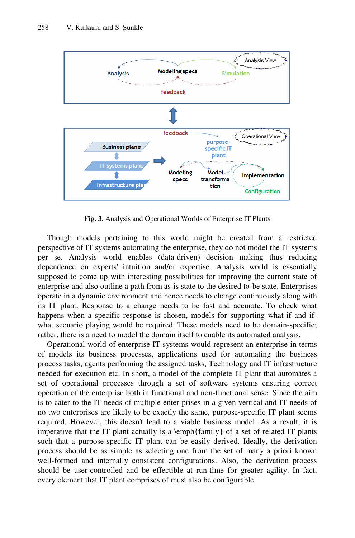

**Fig. 3.** Analysis and Operational Worlds of Enterprise IT Plants

Though models pertaining to this world might be created from a restricted perspective of IT systems automating the enterprise, they do not model the IT systems per se. Analysis world enables (data-driven) decision making thus reducing dependence on experts' intuition and/or expertise. Analysis world is essentially supposed to come up with interesting possibilities for improving the current state of enterprise and also outline a path from as-is state to the desired to-be state. Enterprises operate in a dynamic environment and hence needs to change continuously along with its IT plant. Response to a change needs to be fast and accurate. To check what happens when a specific response is chosen, models for supporting what-if and ifwhat scenario playing would be required. These models need to be domain-specific; rather, there is a need to model the domain itself to enable its automated analysis.

Operational world of enterprise IT systems would represent an enterprise in terms of models its business processes, applications used for automating the business process tasks, agents performing the assigned tasks, Technology and IT infrastructure needed for execution etc. In short, a model of the complete IT plant that automates a set of operational processes through a set of software systems ensuring correct operation of the enterprise both in functional and non-functional sense. Since the aim is to cater to the IT needs of multiple enter prises in a given vertical and IT needs of no two enterprises are likely to be exactly the same, purpose-specific IT plant seems required. However, this doesn't lead to a viable business model. As a result, it is imperative that the IT plant actually is a \emph{family} of a set of related IT plants such that a purpose-specific IT plant can be easily derived. Ideally, the derivation process should be as simple as selecting one from the set of many a priori known well-formed and internally consistent configurations. Also, the derivation process should be user-controlled and be effectible at run-time for greater agility. In fact, every element that IT plant comprises of must also be configurable.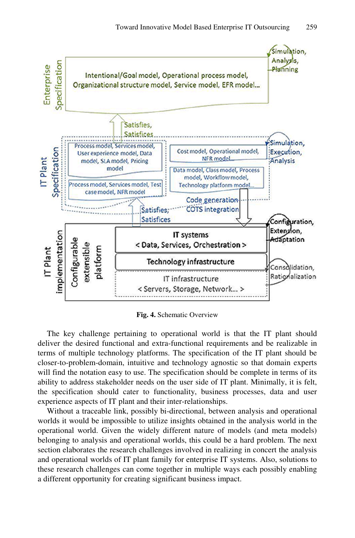

**Fig. 4.** Schematic Overview

The key challenge pertaining to operational world is that the IT plant should deliver the desired functional and extra-functional requirements and be realizable in terms of multiple technology platforms. The specification of the IT plant should be closer-to-problem-domain, intuitive and technology agnostic so that domain experts will find the notation easy to use. The specification should be complete in terms of its ability to address stakeholder needs on the user side of IT plant. Minimally, it is felt, the specification should cater to functionality, business processes, data and user experience aspects of IT plant and their inter-relationships.

Without a traceable link, possibly bi-directional, between analysis and operational worlds it would be impossible to utilize insights obtained in the analysis world in the operational world. Given the widely different nature of models (and meta models) belonging to analysis and operational worlds, this could be a hard problem. The next section elaborates the research challenges involved in realizing in concert the analysis and operational worlds of IT plant family for enterprise IT systems. Also, solutions to these research challenges can come together in multiple ways each possibly enabling a different opportunity for creating significant business impact.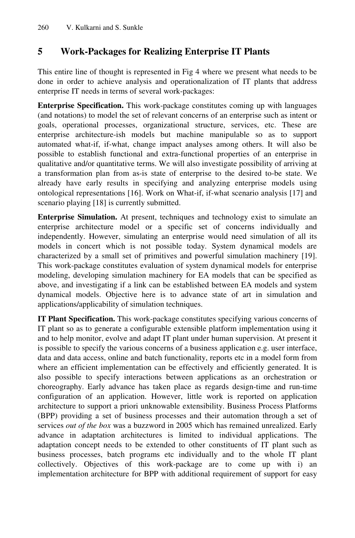# **5 Work-Packages for Realizing Enterprise IT Plants**

This entire line of thought is represented in Fig 4 where we present what needs to be done in order to achieve analysis and operationalization of IT plants that address enterprise IT needs in terms of several work-packages:

**Enterprise Specification.** This work-package constitutes coming up with languages (and notations) to model the set of relevant concerns of an enterprise such as intent or goals, operational processes, organizational structure, services, etc. These are enterprise architecture-ish models but machine manipulable so as to support automated what-if, if-what, change impact analyses among others. It will also be possible to establish functional and extra-functional properties of an enterprise in qualitative and/or quantitative terms. We will also investigate possibility of arriving at a transformation plan from as-is state of enterprise to the desired to-be state. We already have early results in specifying and analyzing enterprise models using ontological representations [16]. Work on What-if, if-what scenario analysis [17] and scenario playing [18] is currently submitted.

**Enterprise Simulation.** At present, techniques and technology exist to simulate an enterprise architecture model or a specific set of concerns individually and independently. However, simulating an enterprise would need simulation of all its models in concert which is not possible today. System dynamical models are characterized by a small set of primitives and powerful simulation machinery [19]. This work-package constitutes evaluation of system dynamical models for enterprise modeling, developing simulation machinery for EA models that can be specified as above, and investigating if a link can be established between EA models and system dynamical models. Objective here is to advance state of art in simulation and applications/applicability of simulation techniques.

**IT Plant Specification.** This work-package constitutes specifying various concerns of IT plant so as to generate a configurable extensible platform implementation using it and to help monitor, evolve and adapt IT plant under human supervision. At present it is possible to specify the various concerns of a business application e.g. user interface, data and data access, online and batch functionality, reports etc in a model form from where an efficient implementation can be effectively and efficiently generated. It is also possible to specify interactions between applications as an orchestration or choreography. Early advance has taken place as regards design-time and run-time configuration of an application. However, little work is reported on application architecture to support a priori unknowable extensibility. Business Process Platforms (BPP) providing a set of business processes and their automation through a set of services *out of the box* was a buzzword in 2005 which has remained unrealized. Early advance in adaptation architectures is limited to individual applications. The adaptation concept needs to be extended to other constituents of IT plant such as business processes, batch programs etc individually and to the whole IT plant collectively. Objectives of this work-package are to come up with i) an implementation architecture for BPP with additional requirement of support for easy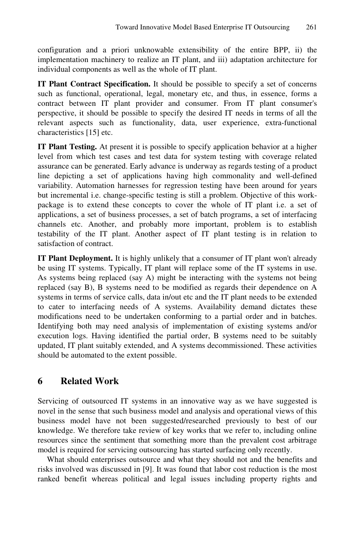configuration and a priori unknowable extensibility of the entire BPP, ii) the implementation machinery to realize an IT plant, and iii) adaptation architecture for individual components as well as the whole of IT plant.

**IT Plant Contract Specification.** It should be possible to specify a set of concerns such as functional, operational, legal, monetary etc, and thus, in essence, forms a contract between IT plant provider and consumer. From IT plant consumer's perspective, it should be possible to specify the desired IT needs in terms of all the relevant aspects such as functionality, data, user experience, extra-functional characteristics [15] etc.

**IT Plant Testing.** At present it is possible to specify application behavior at a higher level from which test cases and test data for system testing with coverage related assurance can be generated. Early advance is underway as regards testing of a product line depicting a set of applications having high commonality and well-defined variability. Automation harnesses for regression testing have been around for years but incremental i.e. change-specific testing is still a problem. Objective of this workpackage is to extend these concepts to cover the whole of IT plant i.e. a set of applications, a set of business processes, a set of batch programs, a set of interfacing channels etc. Another, and probably more important, problem is to establish testability of the IT plant. Another aspect of IT plant testing is in relation to satisfaction of contract.

**IT Plant Deployment.** It is highly unlikely that a consumer of IT plant won't already be using IT systems. Typically, IT plant will replace some of the IT systems in use. As systems being replaced (say A) might be interacting with the systems not being replaced (say B), B systems need to be modified as regards their dependence on A systems in terms of service calls, data in/out etc and the IT plant needs to be extended to cater to interfacing needs of A systems. Availability demand dictates these modifications need to be undertaken conforming to a partial order and in batches. Identifying both may need analysis of implementation of existing systems and/or execution logs. Having identified the partial order, B systems need to be suitably updated, IT plant suitably extended, and A systems decommissioned. These activities should be automated to the extent possible.

# **6 Related Work**

Servicing of outsourced IT systems in an innovative way as we have suggested is novel in the sense that such business model and analysis and operational views of this business model have not been suggested/researched previously to best of our knowledge. We therefore take review of key works that we refer to, including online resources since the sentiment that something more than the prevalent cost arbitrage model is required for servicing outsourcing has started surfacing only recently.

What should enterprises outsource and what they should not and the benefits and risks involved was discussed in [9]. It was found that labor cost reduction is the most ranked benefit whereas political and legal issues including property rights and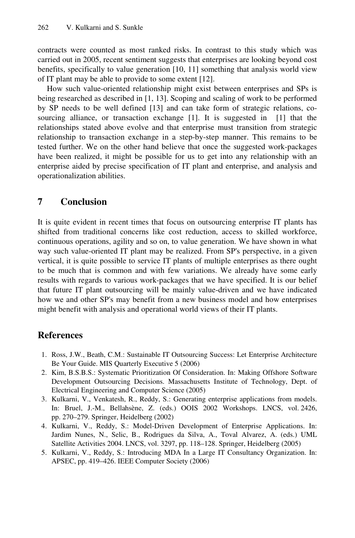contracts were counted as most ranked risks. In contrast to this study which was carried out in 2005, recent sentiment suggests that enterprises are looking beyond cost benefits, specifically to value generation [10, 11] something that analysis world view of IT plant may be able to provide to some extent [12].

How such value-oriented relationship might exist between enterprises and SPs is being researched as described in [1, 13]. Scoping and scaling of work to be performed by SP needs to be well defined [13] and can take form of strategic relations, cosourcing alliance, or transaction exchange [1]. It is suggested in [1] that the relationships stated above evolve and that enterprise must transition from strategic relationship to transaction exchange in a step-by-step manner. This remains to be tested further. We on the other hand believe that once the suggested work-packages have been realized, it might be possible for us to get into any relationship with an enterprise aided by precise specification of IT plant and enterprise, and analysis and operationalization abilities.

#### **7 Conclusion**

It is quite evident in recent times that focus on outsourcing enterprise IT plants has shifted from traditional concerns like cost reduction, access to skilled workforce, continuous operations, agility and so on, to value generation. We have shown in what way such value-oriented IT plant may be realized. From SP's perspective, in a given vertical, it is quite possible to service IT plants of multiple enterprises as there ought to be much that is common and with few variations. We already have some early results with regards to various work-packages that we have specified. It is our belief that future IT plant outsourcing will be mainly value-driven and we have indicated how we and other SP's may benefit from a new business model and how enterprises might benefit with analysis and operational world views of their IT plants.

# **References**

- 1. Ross, J.W., Beath, C.M.: Sustainable IT Outsourcing Success: Let Enterprise Architecture Be Your Guide. MIS Quarterly Executive 5 (2006)
- 2. Kim, B.S.B.S.: Systematic Prioritization Of Consideration. In: Making Offshore Software Development Outsourcing Decisions. Massachusetts Institute of Technology, Dept. of Electrical Engineering and Computer Science (2005)
- 3. Kulkarni, V., Venkatesh, R., Reddy, S.: Generating enterprise applications from models. In: Bruel, J.-M., Bellahsène, Z. (eds.) OOIS 2002 Workshops. LNCS, vol. 2426, pp. 270–279. Springer, Heidelberg (2002)
- 4. Kulkarni, V., Reddy, S.: Model-Driven Development of Enterprise Applications. In: Jardim Nunes, N., Selic, B., Rodrigues da Silva, A., Toval Alvarez, A. (eds.) UML Satellite Activities 2004. LNCS, vol. 3297, pp. 118–128. Springer, Heidelberg (2005)
- 5. Kulkarni, V., Reddy, S.: Introducing MDA In a Large IT Consultancy Organization. In: APSEC, pp. 419–426. IEEE Computer Society (2006)